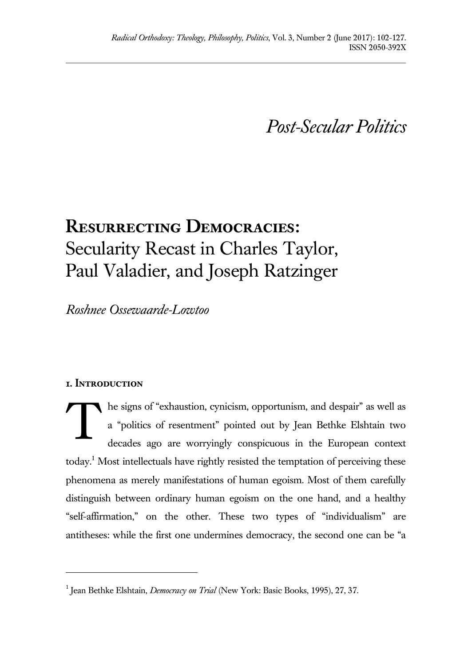*Post-Secular Politics*

# **Resurrecting Democracies:**  Secularity Recast in Charles Taylor, Paul Valadier, and Joseph Ratzinger

*Roshnee Ossewaarde-Lowtoo*

## **1. Introduction**

 $\overline{a}$ 

he signs of "exhaustion, cynicism, opportunism, and despair" as well as a "politics of resentment" pointed out by Jean Bethke Elshtain two decades ago are worryingly conspicuous in the European context today.<sup>1</sup> Most intellectuals have rightly resisted the temptation of perceiving these phenomena as merely manifestations of human egoism. Most of them carefully distinguish between ordinary human egoism on the one hand, and a healthy "self-affirmation," on the other. These two types of "individualism" are antitheses: while the first one undermines democracy, the second one can be "a T

<sup>&</sup>lt;sup>1</sup> Jean Bethke Elshtain, *Democracy on Trial* (New York: Basic Books, 1995), 27, 37.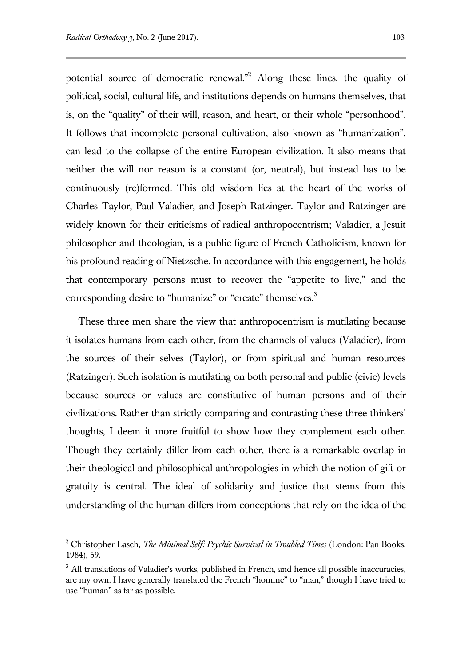l

potential source of democratic renewal."<sup>2</sup> Along these lines, the quality of political, social, cultural life, and institutions depends on humans themselves, that is, on the "quality" of their will, reason, and heart, or their whole "personhood". It follows that incomplete personal cultivation, also known as "humanization", can lead to the collapse of the entire European civilization. It also means that neither the will nor reason is a constant (or, neutral), but instead has to be continuously (re)formed. This old wisdom lies at the heart of the works of Charles Taylor, Paul Valadier, and Joseph Ratzinger. Taylor and Ratzinger are widely known for their criticisms of radical anthropocentrism; Valadier, a Jesuit philosopher and theologian, is a public figure of French Catholicism, known for his profound reading of Nietzsche. In accordance with this engagement, he holds that contemporary persons must to recover the "appetite to live," and the corresponding desire to "humanize" or "create" themselves.<sup>3</sup>

These three men share the view that anthropocentrism is mutilating because it isolates humans from each other, from the channels of values (Valadier), from the sources of their selves (Taylor), or from spiritual and human resources (Ratzinger). Such isolation is mutilating on both personal and public (civic) levels because sources or values are constitutive of human persons and of their civilizations. Rather than strictly comparing and contrasting these three thinkers' thoughts, I deem it more fruitful to show how they complement each other. Though they certainly differ from each other, there is a remarkable overlap in their theological and philosophical anthropologies in which the notion of gift or gratuity is central. The ideal of solidarity and justice that stems from this understanding of the human differs from conceptions that rely on the idea of the

<sup>2</sup> Christopher Lasch, *The Minimal Self: Psychic Survival in Troubled Times* (London: Pan Books, 1984), 59.

 $3$  All translations of Valadier's works, published in French, and hence all possible inaccuracies, are my own. I have generally translated the French "homme" to "man," though I have tried to use "human" as far as possible.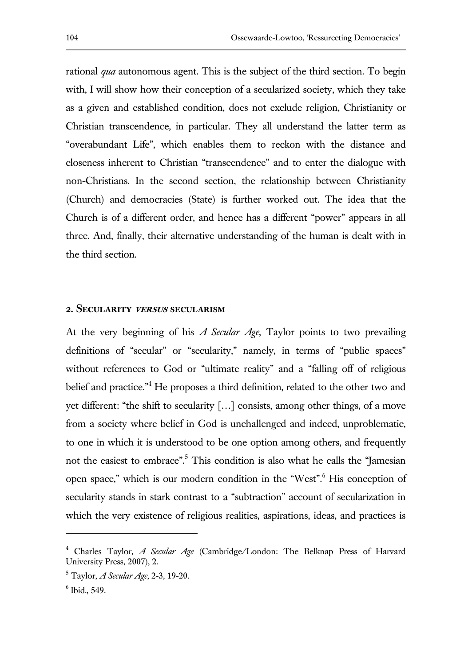rational *qua* autonomous agent. This is the subject of the third section. To begin with, I will show how their conception of a secularized society, which they take as a given and established condition, does not exclude religion, Christianity or Christian transcendence, in particular. They all understand the latter term as "overabundant Life", which enables them to reckon with the distance and closeness inherent to Christian "transcendence" and to enter the dialogue with non-Christians. In the second section, the relationship between Christianity (Church) and democracies (State) is further worked out. The idea that the Church is of a different order, and hence has a different "power" appears in all three. And, finally, their alternative understanding of the human is dealt with in the third section.

#### **2. Secularity versus secularism**

At the very beginning of his *A Secular Age*, Taylor points to two prevailing definitions of "secular" or "secularity," namely, in terms of "public spaces" without references to God or "ultimate reality" and a "falling off of religious belief and practice."<sup>4</sup> He proposes a third definition, related to the other two and yet different: "the shift to secularity […] consists, among other things, of a move from a society where belief in God is unchallenged and indeed, unproblematic, to one in which it is understood to be one option among others, and frequently not the easiest to embrace".<sup>5</sup> This condition is also what he calls the "Jamesian" open space," which is our modern condition in the "West".<sup>6</sup> His conception of secularity stands in stark contrast to a "subtraction" account of secularization in which the very existence of religious realities, aspirations, ideas, and practices is

<sup>4</sup> Charles Taylor, *A Secular Age* (Cambridge/London: The Belknap Press of Harvard University Press, 2007), 2.

<sup>5</sup> Taylor, *A Secular Age*, 2-3, 19-20.

<sup>6</sup> Ibid., 549.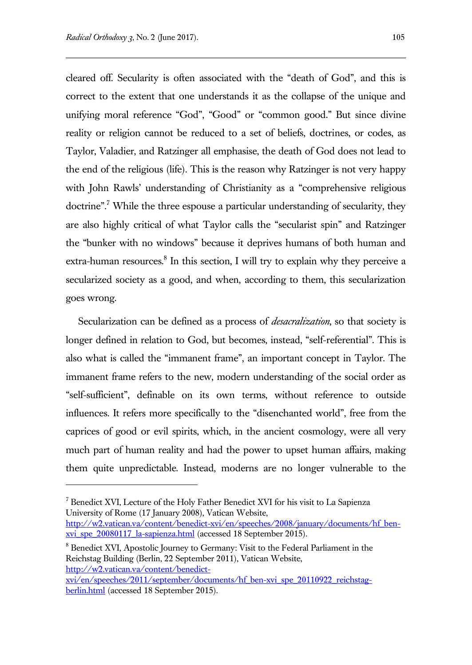$\overline{a}$ 

cleared off. Secularity is often associated with the "death of God", and this is correct to the extent that one understands it as the collapse of the unique and unifying moral reference "God", "Good" or "common good." But since divine reality or religion cannot be reduced to a set of beliefs, doctrines, or codes, as Taylor, Valadier, and Ratzinger all emphasise, the death of God does not lead to the end of the religious (life). This is the reason why Ratzinger is not very happy with John Rawls' understanding of Christianity as a "comprehensive religious doctrine".<sup>7</sup> While the three espouse a particular understanding of secularity, they are also highly critical of what Taylor calls the "secularist spin" and Ratzinger the "bunker with no windows" because it deprives humans of both human and extra-human resources.<sup>8</sup> In this section, I will try to explain why they perceive a secularized society as a good, and when, according to them, this secularization goes wrong.

Secularization can be defined as a process of *desacralization*, so that society is longer defined in relation to God, but becomes, instead, "self-referential". This is also what is called the "immanent frame", an important concept in Taylor. The immanent frame refers to the new, modern understanding of the social order as "self-sufficient", definable on its own terms, without reference to outside influences. It refers more specifically to the "disenchanted world", free from the caprices of good or evil spirits, which, in the ancient cosmology, were all very much part of human reality and had the power to upset human affairs, making them quite unpredictable. Instead, moderns are no longer vulnerable to the

<sup>7</sup> Benedict XVI, Lecture of the Holy Father Benedict XVI for his visit to La Sapienza University of Rome (17 January 2008), Vatican Website, [http://w2.vatican.va/content/benedict-xvi/en/speeches/2008/january/documents/hf\\_ben](http://w2.vatican.va/content/benedict-xvi/en/speeches/2008/january/documents/hf_ben-xvi_spe_20080117_la-sapienza.html)xvi spe 20080117 la-sapienza.html (accessed 18 September 2015).

<sup>8</sup> Benedict XVI, Apostolic Journey to Germany: Visit to the Federal Parliament in the Reichstag Building (Berlin, 22 September 2011), Vatican Website, [http://w2.vatican.va/content/benedict-](http://w2.vatican.va/content/benedict-xvi/en/speeches/2011/september/documents/hf_ben-xvi_spe_20110922_reichstag-berlin.html)

[xvi/en/speeches/2011/september/documents/hf\\_ben-xvi\\_spe\\_20110922\\_reichstag](http://w2.vatican.va/content/benedict-xvi/en/speeches/2011/september/documents/hf_ben-xvi_spe_20110922_reichstag-berlin.html)[berlin.html](http://w2.vatican.va/content/benedict-xvi/en/speeches/2011/september/documents/hf_ben-xvi_spe_20110922_reichstag-berlin.html) (accessed 18 September 2015).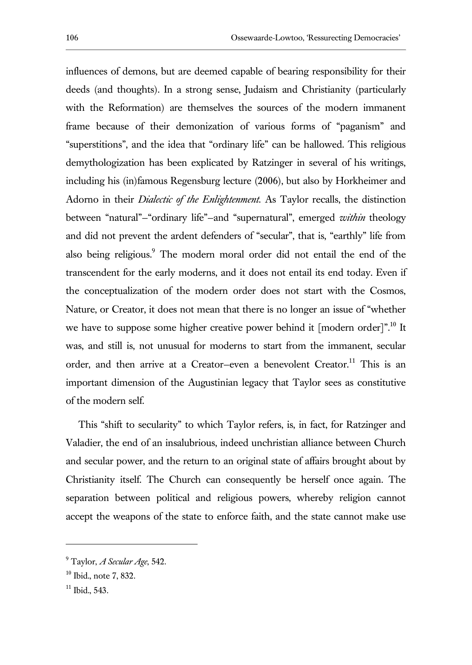influences of demons, but are deemed capable of bearing responsibility for their deeds (and thoughts). In a strong sense, Judaism and Christianity (particularly with the Reformation) are themselves the sources of the modern immanent frame because of their demonization of various forms of "paganism" and "superstitions", and the idea that "ordinary life" can be hallowed. This religious demythologization has been explicated by Ratzinger in several of his writings, including his (in)famous Regensburg lecture (2006), but also by Horkheimer and Adorno in their *Dialectic of the Enlightenment.* As Taylor recalls, the distinction between "natural"—"ordinary life"—and "supernatural", emerged *within* theology and did not prevent the ardent defenders of "secular", that is, "earthly" life from also being religious.<sup>9</sup> The modern moral order did not entail the end of the transcendent for the early moderns, and it does not entail its end today. Even if the conceptualization of the modern order does not start with the Cosmos, Nature, or Creator, it does not mean that there is no longer an issue of "whether we have to suppose some higher creative power behind it [modern order]".<sup>10</sup> It was, and still is, not unusual for moderns to start from the immanent, secular order, and then arrive at a Creator-even a benevolent Creator.<sup>11</sup> This is an important dimension of the Augustinian legacy that Taylor sees as constitutive of the modern self.

This "shift to secularity" to which Taylor refers, is, in fact, for Ratzinger and Valadier, the end of an insalubrious, indeed unchristian alliance between Church and secular power, and the return to an original state of affairs brought about by Christianity itself. The Church can consequently be herself once again. The separation between political and religious powers, whereby religion cannot accept the weapons of the state to enforce faith, and the state cannot make use

<sup>9</sup> Taylor, *A Secular Age*, 542.

 $10$  Ibid., note 7, 832.

 $11$  Ibid., 543.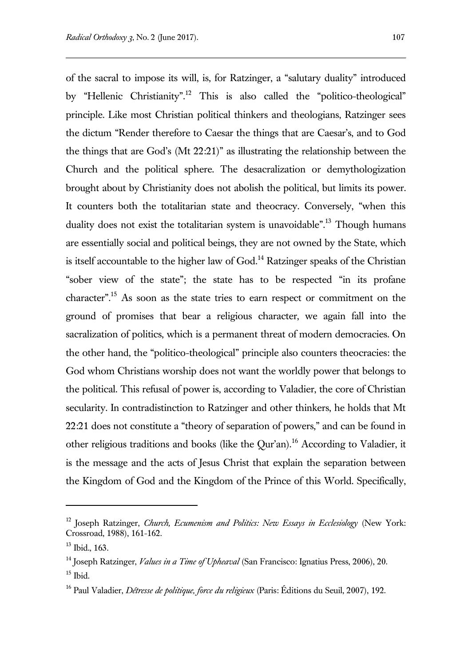of the sacral to impose its will, is, for Ratzinger, a "salutary duality" introduced by "Hellenic Christianity".<sup>12</sup> This is also called the "politico-theological" principle. Like most Christian political thinkers and theologians, Ratzinger sees the dictum "Render therefore to Caesar the things that are Caesar's, and to God the things that are God's (Mt 22:21)" as illustrating the relationship between the Church and the political sphere. The desacralization or demythologization brought about by Christianity does not abolish the political, but limits its power. It counters both the totalitarian state and theocracy. Conversely, "when this duality does not exist the totalitarian system is unavoidable".<sup>13</sup> Though humans are essentially social and political beings, they are not owned by the State, which is itself accountable to the higher law of  $God<sup>14</sup> Ratzinger$  speaks of the Christian "sober view of the state"; the state has to be respected "in its profane character".<sup>15</sup> As soon as the state tries to earn respect or commitment on the ground of promises that bear a religious character, we again fall into the sacralization of politics, which is a permanent threat of modern democracies. On the other hand, the "politico-theological" principle also counters theocracies: the God whom Christians worship does not want the worldly power that belongs to the political. This refusal of power is, according to Valadier, the core of Christian secularity. In contradistinction to Ratzinger and other thinkers, he holds that Mt 22:21 does not constitute a "theory of separation of powers," and can be found in other religious traditions and books (like the Qur'an).<sup>16</sup> According to Valadier, it is the message and the acts of Jesus Christ that explain the separation between the Kingdom of God and the Kingdom of the Prince of this World. Specifically,

<sup>12</sup> Joseph Ratzinger, *Church, Ecumenism and Politics: New Essays in Ecclesiology* (New York: Crossroad, 1988), 161-162.

 $13$  Ibid., 163.

<sup>14</sup> Joseph Ratzinger, *Values in a Time of Upheaval* (San Francisco: Ignatius Press, 2006), 20.  $15$  Ibid.

<sup>16</sup> Paul Valadier, *Détresse de politique, force du religieux* (Paris: Éditions du Seuil, 2007), 192.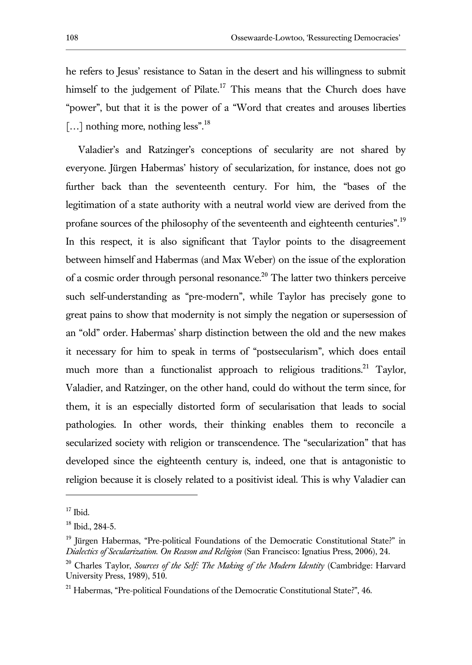he refers to Jesus' resistance to Satan in the desert and his willingness to submit himself to the judgement of Pilate.<sup>17</sup> This means that the Church does have "power", but that it is the power of a "Word that creates and arouses liberties [...] nothing more, nothing less".<sup>18</sup>

Valadier's and Ratzinger's conceptions of secularity are not shared by everyone. Jürgen Habermas' history of secularization, for instance, does not go further back than the seventeenth century. For him, the "bases of the legitimation of a state authority with a neutral world view are derived from the profane sources of the philosophy of the seventeenth and eighteenth centuries".<sup>19</sup> In this respect, it is also significant that Taylor points to the disagreement between himself and Habermas (and Max Weber) on the issue of the exploration of a cosmic order through personal resonance.<sup>20</sup> The latter two thinkers perceive such self-understanding as "pre-modern", while Taylor has precisely gone to great pains to show that modernity is not simply the negation or supersession of an "old" order. Habermas' sharp distinction between the old and the new makes it necessary for him to speak in terms of "postsecularism", which does entail much more than a functionalist approach to religious traditions.<sup>21</sup> Taylor, Valadier, and Ratzinger, on the other hand, could do without the term since, for them, it is an especially distorted form of secularisation that leads to social pathologies. In other words, their thinking enables them to reconcile a secularized society with religion or transcendence. The "secularization" that has developed since the eighteenth century is, indeed, one that is antagonistic to religion because it is closely related to a positivist ideal. This is why Valadier can

 $17$  Ibid.

 $18$  Ibid., 284-5.

<sup>&</sup>lt;sup>19</sup> Jürgen Habermas, "Pre-political Foundations of the Democratic Constitutional State?" in *Dialectics of Secularization. On Reason and Religion* (San Francisco: Ignatius Press, 2006), 24.

<sup>20</sup> Charles Taylor, *Sources of the Self: The Making of the Modern Identity* (Cambridge: Harvard University Press, 1989), 510.

<sup>&</sup>lt;sup>21</sup> Habermas, "Pre-political Foundations of the Democratic Constitutional State?", 46.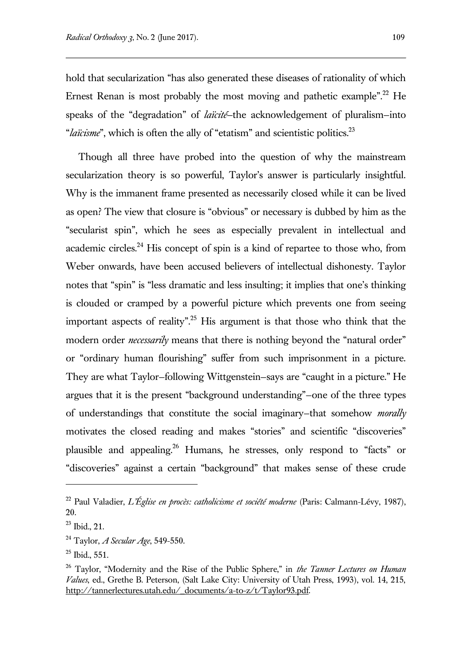hold that secularization "has also generated these diseases of rationality of which Ernest Renan is most probably the most moving and pathetic example".<sup>22</sup> He speaks of the "degradation" of *laïcité*—the acknowledgement of pluralism—into "*laïcisme*", which is often the ally of "etatism" and scientistic politics.<sup>23</sup>

Though all three have probed into the question of why the mainstream secularization theory is so powerful, Taylor's answer is particularly insightful. Why is the immanent frame presented as necessarily closed while it can be lived as open? The view that closure is "obvious" or necessary is dubbed by him as the "secularist spin", which he sees as especially prevalent in intellectual and academic circles.<sup>24</sup> His concept of spin is a kind of repartee to those who, from Weber onwards, have been accused believers of intellectual dishonesty. Taylor notes that "spin" is "less dramatic and less insulting; it implies that one's thinking is clouded or cramped by a powerful picture which prevents one from seeing important aspects of reality".<sup>25</sup> His argument is that those who think that the modern order *necessarily* means that there is nothing beyond the "natural order" or "ordinary human flourishing" suffer from such imprisonment in a picture. They are what Taylor—following Wittgenstein—says are "caught in a picture." He argues that it is the present "background understanding"—one of the three types of understandings that constitute the social imaginary—that somehow *morally*  motivates the closed reading and makes "stories" and scientific "discoveries" plausible and appealing.<sup>26</sup> Humans, he stresses, only respond to "facts" or "discoveries" against a certain "background" that makes sense of these crude

<sup>22</sup> Paul Valadier, *L'Église en procès: catholicisme et société moderne* (Paris: Calmann-Lévy, 1987), 20.

<sup>23</sup> Ibid., 21.

<sup>24</sup> Taylor, *A Secular Age*, 549-550.

 $25$  Ibid., 551.

<sup>26</sup> Taylor, "Modernity and the Rise of the Public Sphere," in *the Tanner Lectures on Human Values*, ed., Grethe B. Peterson, (Salt Lake City: University of Utah Press, 1993), vol. 14, 215, http://tannerlectures.utah.edu/\_documents/a-to-z/t/Taylor93.pdf.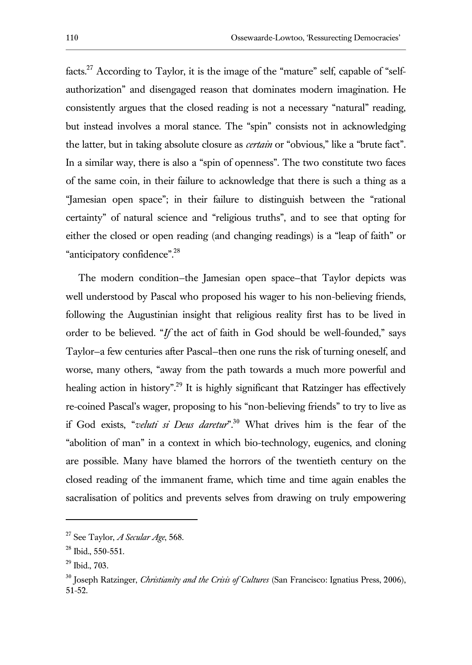facts.<sup>27</sup> According to Taylor, it is the image of the "mature" self, capable of "selfauthorization" and disengaged reason that dominates modern imagination. He consistently argues that the closed reading is not a necessary "natural" reading, but instead involves a moral stance. The "spin" consists not in acknowledging the latter, but in taking absolute closure as *certain* or "obvious," like a "brute fact". In a similar way, there is also a "spin of openness". The two constitute two faces of the same coin, in their failure to acknowledge that there is such a thing as a "Jamesian open space"; in their failure to distinguish between the "rational certainty" of natural science and "religious truths", and to see that opting for either the closed or open reading (and changing readings) is a "leap of faith" or "anticipatory confidence".<sup>28</sup>

The modern condition—the Jamesian open space—that Taylor depicts was well understood by Pascal who proposed his wager to his non-believing friends, following the Augustinian insight that religious reality first has to be lived in order to be believed. "*If* the act of faith in God should be well-founded," says Taylor—a few centuries after Pascal—then one runs the risk of turning oneself, and worse, many others, "away from the path towards a much more powerful and healing action in history".<sup>29</sup> It is highly significant that Ratzinger has effectively re-coined Pascal's wager, proposing to his "non-believing friends" to try to live as if God exists, "*veluti si Deus daretur*".<sup>30</sup> What drives him is the fear of the "abolition of man" in a context in which bio-technology, eugenics, and cloning are possible. Many have blamed the horrors of the twentieth century on the closed reading of the immanent frame, which time and time again enables the sacralisation of politics and prevents selves from drawing on truly empowering

<sup>27</sup> See Taylor, *A Secular Age*, 568.

 $28$  Ibid., 550-551.

<sup>29</sup> Ibid., 703.

<sup>30</sup> Joseph Ratzinger, *Christianity and the Crisis of Cultures* (San Francisco: Ignatius Press, 2006), 51-52.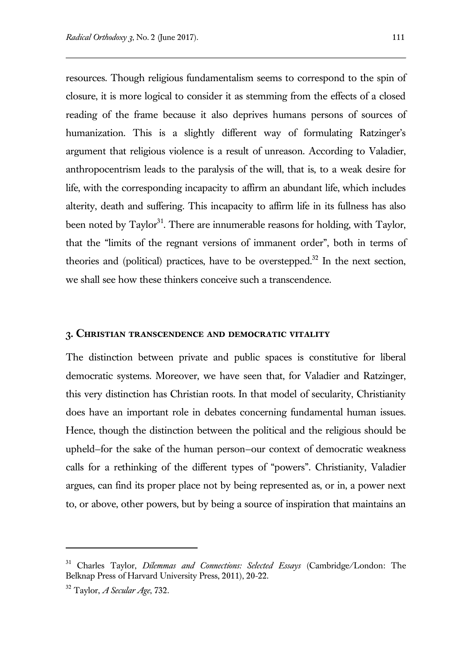resources. Though religious fundamentalism seems to correspond to the spin of closure, it is more logical to consider it as stemming from the effects of a closed reading of the frame because it also deprives humans persons of sources of humanization. This is a slightly different way of formulating Ratzinger's argument that religious violence is a result of unreason. According to Valadier, anthropocentrism leads to the paralysis of the will, that is, to a weak desire for life, with the corresponding incapacity to affirm an abundant life, which includes alterity, death and suffering. This incapacity to affirm life in its fullness has also been noted by Taylor<sup>31</sup>. There are innumerable reasons for holding, with Taylor, that the "limits of the regnant versions of immanent order", both in terms of theories and (political) practices, have to be overstepped. $32$  In the next section, we shall see how these thinkers conceive such a transcendence.

#### **3. Christian transcendence and democratic vitality**

The distinction between private and public spaces is constitutive for liberal democratic systems. Moreover, we have seen that, for Valadier and Ratzinger, this very distinction has Christian roots. In that model of secularity, Christianity does have an important role in debates concerning fundamental human issues. Hence, though the distinction between the political and the religious should be upheld—for the sake of the human person—our context of democratic weakness calls for a rethinking of the different types of "powers". Christianity, Valadier argues, can find its proper place not by being represented as, or in, a power next to, or above, other powers, but by being a source of inspiration that maintains an

<sup>31</sup> Charles Taylor, *Dilemmas and Connections: Selected Essays* (Cambridge/London: The Belknap Press of Harvard University Press, 2011), 20-22.

<sup>32</sup> Taylor, *A Secular Age*, 732.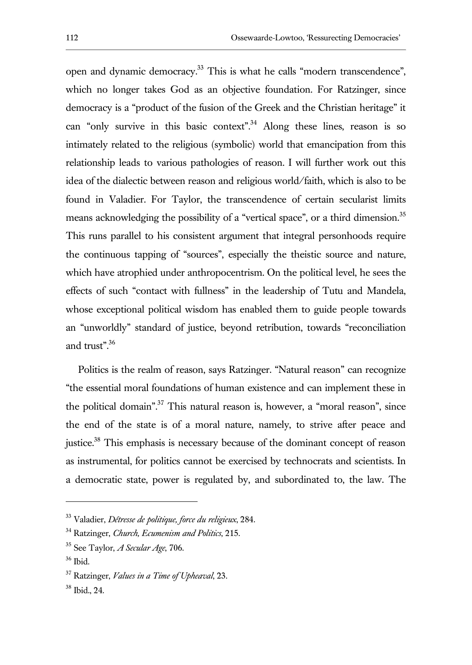open and dynamic democracy.<sup>33</sup> This is what he calls "modern transcendence", which no longer takes God as an objective foundation. For Ratzinger, since democracy is a "product of the fusion of the Greek and the Christian heritage" it can "only survive in this basic context".<sup>34</sup> Along these lines, reason is so intimately related to the religious (symbolic) world that emancipation from this relationship leads to various pathologies of reason. I will further work out this idea of the dialectic between reason and religious world/faith, which is also to be found in Valadier. For Taylor, the transcendence of certain secularist limits means acknowledging the possibility of a "vertical space", or a third dimension.<sup>35</sup> This runs parallel to his consistent argument that integral personhoods require the continuous tapping of "sources", especially the theistic source and nature, which have atrophied under anthropocentrism. On the political level, he sees the effects of such "contact with fullness" in the leadership of Tutu and Mandela, whose exceptional political wisdom has enabled them to guide people towards an "unworldly" standard of justice, beyond retribution, towards "reconciliation and trust".<sup>36</sup>

Politics is the realm of reason, says Ratzinger. "Natural reason" can recognize "the essential moral foundations of human existence and can implement these in the political domain".<sup>37</sup> This natural reason is, however, a "moral reason", since the end of the state is of a moral nature, namely, to strive after peace and justice.<sup>38</sup> This emphasis is necessary because of the dominant concept of reason as instrumental, for politics cannot be exercised by technocrats and scientists. In a democratic state, power is regulated by, and subordinated to, the law. The

<sup>33</sup> Valadier, *Détresse de politique, force du religieux*, 284.

<sup>34</sup> Ratzinger, *Church, Ecumenism and Politics*, 215.

<sup>35</sup> See Taylor, *A Secular Age*, 706.

<sup>36</sup> Ibid.

<sup>37</sup> Ratzinger, *Values in a Time of Upheaval*, 23.

<sup>38</sup> Ibid., 24.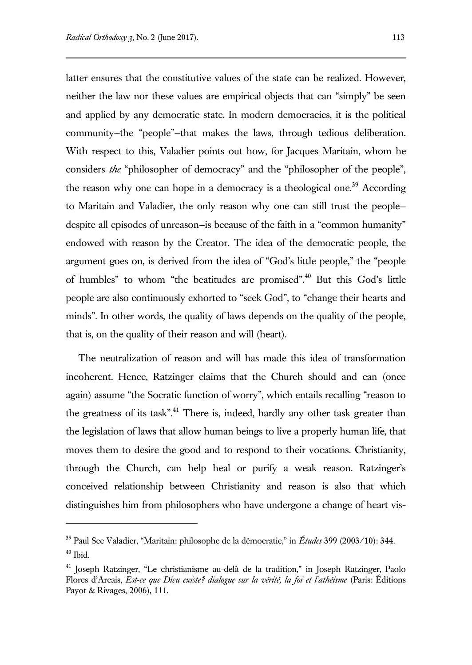$\overline{a}$ 

latter ensures that the constitutive values of the state can be realized. However, neither the law nor these values are empirical objects that can "simply" be seen and applied by any democratic state. In modern democracies, it is the political community—the "people"—that makes the laws, through tedious deliberation. With respect to this, Valadier points out how, for Jacques Maritain, whom he considers *the* "philosopher of democracy" and the "philosopher of the people", the reason why one can hope in a democracy is a theological one.<sup>39</sup> According to Maritain and Valadier, the only reason why one can still trust the people despite all episodes of unreason—is because of the faith in a "common humanity" endowed with reason by the Creator. The idea of the democratic people, the argument goes on, is derived from the idea of "God's little people," the "people of humbles" to whom "the beatitudes are promised".<sup>40</sup> But this God's little people are also continuously exhorted to "seek God", to "change their hearts and minds". In other words, the quality of laws depends on the quality of the people, that is, on the quality of their reason and will (heart).

The neutralization of reason and will has made this idea of transformation incoherent. Hence, Ratzinger claims that the Church should and can (once again) assume "the Socratic function of worry", which entails recalling "reason to the greatness of its task".<sup>41</sup> There is, indeed, hardly any other task greater than the legislation of laws that allow human beings to live a properly human life, that moves them to desire the good and to respond to their vocations. Christianity, through the Church, can help heal or purify a weak reason. Ratzinger's conceived relationship between Christianity and reason is also that which distinguishes him from philosophers who have undergone a change of heart vis-

<sup>39</sup> Paul See Valadier, "Maritain: philosophe de la démocratie," in *Études* 399 (2003/10): 344.  $^{\rm 40}$  Ibid.

<sup>&</sup>lt;sup>41</sup> Joseph Ratzinger, "Le christianisme au-delà de la tradition," in Joseph Ratzinger, Paolo Flores d'Arcais, *Est-ce que Dieu existe? dialogue sur la vérité, la foi et l'athéisme* (Paris: Éditions Payot & Rivages, 2006), 111.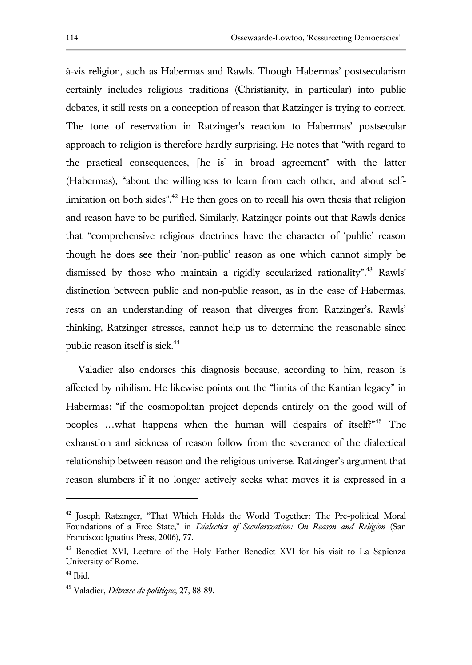à-vis religion, such as Habermas and Rawls. Though Habermas' postsecularism certainly includes religious traditions (Christianity, in particular) into public debates, it still rests on a conception of reason that Ratzinger is trying to correct. The tone of reservation in Ratzinger's reaction to Habermas' postsecular approach to religion is therefore hardly surprising. He notes that "with regard to the practical consequences, [he is] in broad agreement" with the latter (Habermas), "about the willingness to learn from each other, and about selflimitation on both sides".<sup>42</sup> He then goes on to recall his own thesis that religion and reason have to be purified. Similarly, Ratzinger points out that Rawls denies that "comprehensive religious doctrines have the character of 'public' reason though he does see their 'non-public' reason as one which cannot simply be dismissed by those who maintain a rigidly secularized rationality".<sup>43</sup> Rawls' distinction between public and non-public reason, as in the case of Habermas, rests on an understanding of reason that diverges from Ratzinger's. Rawls' thinking, Ratzinger stresses, cannot help us to determine the reasonable since public reason itself is sick.<sup>44</sup>

Valadier also endorses this diagnosis because, according to him, reason is affected by nihilism. He likewise points out the "limits of the Kantian legacy" in Habermas: "if the cosmopolitan project depends entirely on the good will of peoples …what happens when the human will despairs of itself?"<sup>45</sup> The exhaustion and sickness of reason follow from the severance of the dialectical relationship between reason and the religious universe. Ratzinger's argument that reason slumbers if it no longer actively seeks what moves it is expressed in a

<sup>&</sup>lt;sup>42</sup> Joseph Ratzinger, "That Which Holds the World Together: The Pre-political Moral Foundations of a Free State," in *Dialectics of Secularization: On Reason and Religion* (San Francisco: Ignatius Press, 2006), 77.

<sup>&</sup>lt;sup>43</sup> Benedict XVI, Lecture of the Holy Father Benedict XVI for his visit to La Sapienza University of Rome.

 $44$  Ibid.

<sup>45</sup> Valadier, *Détresse de politique*, 27, 88-89.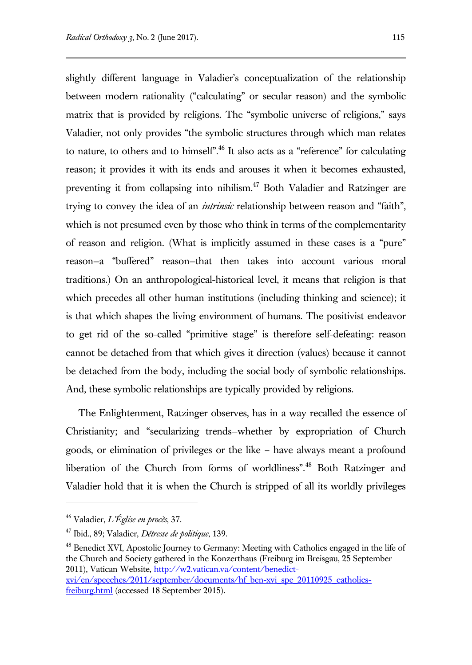slightly different language in Valadier's conceptualization of the relationship between modern rationality ("calculating" or secular reason) and the symbolic matrix that is provided by religions. The "symbolic universe of religions," says Valadier, not only provides "the symbolic structures through which man relates to nature, to others and to himself".<sup>46</sup> It also acts as a "reference" for calculating reason; it provides it with its ends and arouses it when it becomes exhausted, preventing it from collapsing into nihilism.<sup>47</sup> Both Valadier and Ratzinger are trying to convey the idea of an *intrinsic* relationship between reason and "faith", which is not presumed even by those who think in terms of the complementarity of reason and religion. (What is implicitly assumed in these cases is a "pure" reason—a "buffered" reason—that then takes into account various moral traditions.) On an anthropological-historical level, it means that religion is that which precedes all other human institutions (including thinking and science); it is that which shapes the living environment of humans. The positivist endeavor to get rid of the so-called "primitive stage" is therefore self-defeating: reason cannot be detached from that which gives it direction (values) because it cannot be detached from the body, including the social body of symbolic relationships. And, these symbolic relationships are typically provided by religions.

The Enlightenment, Ratzinger observes, has in a way recalled the essence of Christianity; and "secularizing trends—whether by expropriation of Church goods, or elimination of privileges or the like – have always meant a profound liberation of the Church from forms of worldliness".<sup>48</sup> Both Ratzinger and Valadier hold that it is when the Church is stripped of all its worldly privileges

 $\overline{a}$ 

<sup>48</sup> Benedict XVI, Apostolic Journey to Germany: Meeting with Catholics engaged in the life of the Church and Society gathered in the Konzerthaus (Freiburg im Breisgau, 25 September 2011), Vatican Website, [http://w2.vatican.va/content/benedict](http://w2.vatican.va/content/benedict-xvi/en/speeches/2011/september/documents/hf_ben-xvi_spe_20110925_catholics-freiburg.html)[xvi/en/speeches/2011/september/documents/hf\\_ben-xvi\\_spe\\_20110925\\_catholics](http://w2.vatican.va/content/benedict-xvi/en/speeches/2011/september/documents/hf_ben-xvi_spe_20110925_catholics-freiburg.html)[freiburg.html](http://w2.vatican.va/content/benedict-xvi/en/speeches/2011/september/documents/hf_ben-xvi_spe_20110925_catholics-freiburg.html) (accessed 18 September 2015).

<sup>46</sup> Valadier, *L'Église en procès*, 37.

<sup>47</sup> Ibid., 89; Valadier, *Détresse de politique*, 139.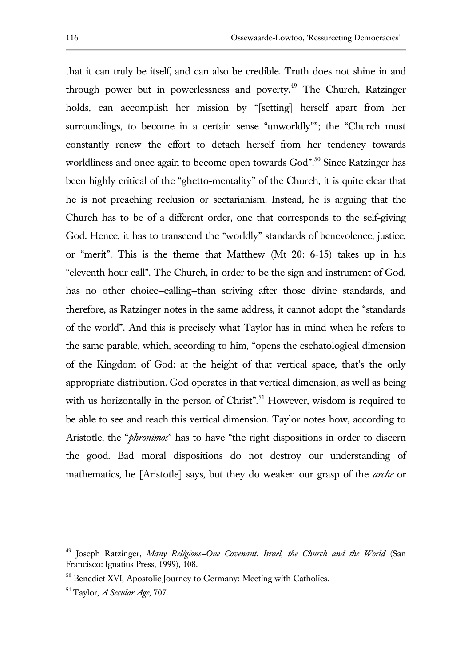that it can truly be itself, and can also be credible. Truth does not shine in and through power but in powerlessness and poverty.<sup>49</sup> The Church, Ratzinger holds, can accomplish her mission by "[setting] herself apart from her surroundings, to become in a certain sense "unworldly""; the "Church must constantly renew the effort to detach herself from her tendency towards worldliness and once again to become open towards God".<sup>50</sup> Since Ratzinger has been highly critical of the "ghetto-mentality" of the Church, it is quite clear that he is not preaching reclusion or sectarianism. Instead, he is arguing that the Church has to be of a different order, one that corresponds to the self-giving God. Hence, it has to transcend the "worldly" standards of benevolence, justice, or "merit". This is the theme that Matthew (Mt 20: 6-15) takes up in his "eleventh hour call". The Church, in order to be the sign and instrument of God, has no other choice-calling-than striving after those divine standards, and therefore, as Ratzinger notes in the same address, it cannot adopt the "standards of the world". And this is precisely what Taylor has in mind when he refers to the same parable, which, according to him, "opens the eschatological dimension of the Kingdom of God: at the height of that vertical space, that's the only appropriate distribution. God operates in that vertical dimension, as well as being with us horizontally in the person of Christ".<sup>51</sup> However, wisdom is required to be able to see and reach this vertical dimension. Taylor notes how, according to Aristotle, the "*phronimos*" has to have "the right dispositions in order to discern the good. Bad moral dispositions do not destroy our understanding of mathematics, he [Aristotle] says, but they do weaken our grasp of the *arche* or

<sup>49</sup> Joseph Ratzinger, *Many Religions—One Covenant: Israel, the Church and the World* (San Francisco: Ignatius Press, 1999), 108.

<sup>&</sup>lt;sup>50</sup> Benedict XVI, Apostolic Journey to Germany: Meeting with Catholics.

<sup>51</sup> Taylor, *A Secular Age*, 707.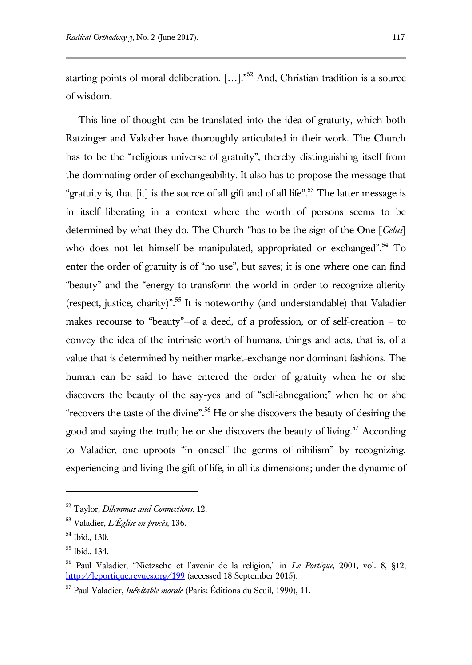starting points of moral deliberation. […]."<sup>52</sup> And, Christian tradition is a source of wisdom.

This line of thought can be translated into the idea of gratuity, which both Ratzinger and Valadier have thoroughly articulated in their work. The Church has to be the "religious universe of gratuity", thereby distinguishing itself from the dominating order of exchangeability. It also has to propose the message that "gratuity is, that  $\lceil$ it $\rceil$  is the source of all gift and of all life".<sup>53</sup> The latter message is in itself liberating in a context where the worth of persons seems to be determined by what they do. The Church "has to be the sign of the One [*Celui*] who does not let himself be manipulated, appropriated or exchanged".<sup>54</sup> To enter the order of gratuity is of "no use", but saves; it is one where one can find "beauty" and the "energy to transform the world in order to recognize alterity (respect, justice, charity)".<sup>55</sup> It is noteworthy (and understandable) that Valadier makes recourse to "beauty"—of a deed, of a profession, or of self-creation – to convey the idea of the intrinsic worth of humans, things and acts, that is, of a value that is determined by neither market-exchange nor dominant fashions. The human can be said to have entered the order of gratuity when he or she discovers the beauty of the say-yes and of "self-abnegation;" when he or she "recovers the taste of the divine".<sup>56</sup> He or she discovers the beauty of desiring the good and saying the truth; he or she discovers the beauty of living.<sup>57</sup> According to Valadier, one uproots "in oneself the germs of nihilism" by recognizing, experiencing and living the gift of life, in all its dimensions; under the dynamic of

<sup>52</sup> Taylor, *Dilemmas and Connections*, 12.

<sup>53</sup> Valadier, *L'Église en procès*, 136.

<sup>54</sup> Ibid., 130.

<sup>55</sup> Ibid., 134.

<sup>56</sup> Paul Valadier, "Nietzsche et l'avenir de la religion," in *Le Portique*, 2001, vol. 8, §12, <http://leportique.revues.org/199> (accessed 18 September 2015).

<sup>57</sup> Paul Valadier, *Inévitable morale* (Paris: Éditions du Seuil, 1990), 11.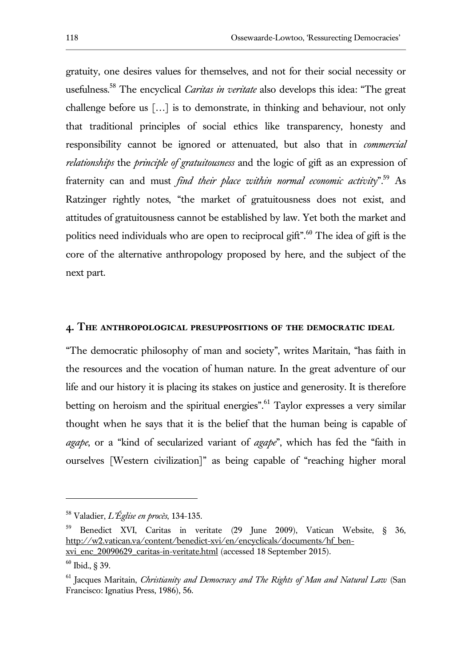gratuity, one desires values for themselves, and not for their social necessity or usefulness.<sup>58</sup> The encyclical *Caritas in veritate* also develops this idea: "The great challenge before us […] is to demonstrate, in thinking and behaviour, not only that traditional principles of social ethics like transparency, honesty and responsibility cannot be ignored or attenuated, but also that in *commercial relationships* the *principle of gratuitousness* and the logic of gift as an expression of fraternity can and must *find their place within normal economic activity*".<sup>59</sup> As Ratzinger rightly notes, "the market of gratuitousness does not exist, and attitudes of gratuitousness cannot be established by law. Yet both the market and politics need individuals who are open to reciprocal gift".<sup>60</sup> The idea of gift is the core of the alternative anthropology proposed by here, and the subject of the next part.

#### **4. The anthropological presuppositions of the democratic ideal**

"The democratic philosophy of man and society", writes Maritain, "has faith in the resources and the vocation of human nature. In the great adventure of our life and our history it is placing its stakes on justice and generosity. It is therefore betting on heroism and the spiritual energies". Taylor expresses a very similar thought when he says that it is the belief that the human being is capable of *agape*, or a "kind of secularized variant of *agape*", which has fed the "faith in ourselves [Western civilization]" as being capable of "reaching higher moral

<sup>58</sup> Valadier, *L'Église en procès*, 134-135.

<sup>59</sup> Benedict XVI, Caritas in veritate (29 June 2009), Vatican Website, § 36, http://w2.vatican.va/content/benedict-xvi/en/encyclicals/documents/hf\_benxvi\_enc\_20090629\_caritas-in-veritate.html (accessed 18 September 2015).

<sup>60</sup> Ibid., § 39.

<sup>61</sup> Jacques Maritain, *Christianity and Democracy and The Rights of Man and Natural Law* (San Francisco: Ignatius Press, 1986), 56.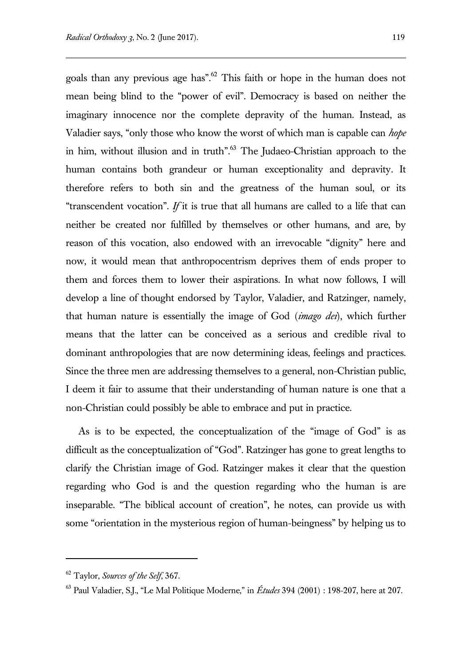goals than any previous age has".<sup>62</sup> This faith or hope in the human does not mean being blind to the "power of evil". Democracy is based on neither the imaginary innocence nor the complete depravity of the human. Instead, as Valadier says, "only those who know the worst of which man is capable can *hope* in him, without illusion and in truth".<sup>63</sup> The Judaeo-Christian approach to the human contains both grandeur or human exceptionality and depravity. It therefore refers to both sin and the greatness of the human soul, or its "transcendent vocation". *If* it is true that all humans are called to a life that can neither be created nor fulfilled by themselves or other humans, and are, by reason of this vocation, also endowed with an irrevocable "dignity" here and now, it would mean that anthropocentrism deprives them of ends proper to them and forces them to lower their aspirations. In what now follows, I will develop a line of thought endorsed by Taylor, Valadier, and Ratzinger, namely, that human nature is essentially the image of God (*imago dei*), which further means that the latter can be conceived as a serious and credible rival to dominant anthropologies that are now determining ideas, feelings and practices. Since the three men are addressing themselves to a general, non-Christian public, I deem it fair to assume that their understanding of human nature is one that a non-Christian could possibly be able to embrace and put in practice.

As is to be expected, the conceptualization of the "image of God" is as difficult as the conceptualization of "God". Ratzinger has gone to great lengths to clarify the Christian image of God. Ratzinger makes it clear that the question regarding who God is and the question regarding who the human is are inseparable. "The biblical account of creation", he notes, can provide us with some "orientation in the mysterious region of human-beingness" by helping us to

<sup>62</sup> Taylor, *Sources of the Self*, 367.

<sup>63</sup> Paul Valadier, S.J., "Le Mal Politique Moderne," in *Études* 394 (2001) : 198-207, here at 207.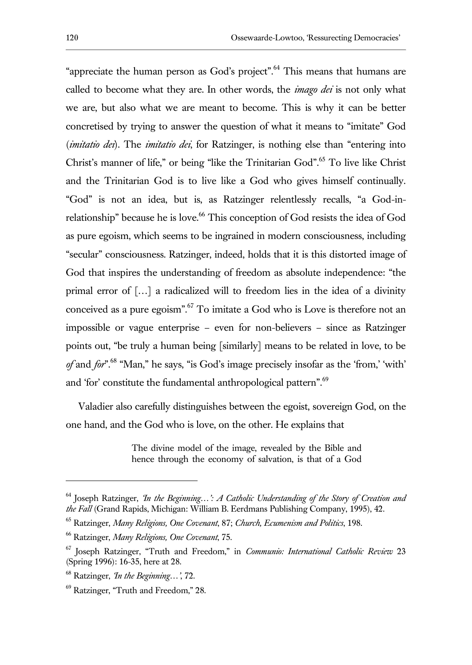"appreciate the human person as God's project". <sup>64</sup> This means that humans are called to become what they are. In other words, the *imago dei* is not only what we are, but also what we are meant to become. This is why it can be better concretised by trying to answer the question of what it means to "imitate" God (*imitatio dei*). The *imitatio dei*, for Ratzinger, is nothing else than "entering into Christ's manner of life," or being "like the Trinitarian God".<sup>65</sup> To live like Christ and the Trinitarian God is to live like a God who gives himself continually. "God" is not an idea, but is, as Ratzinger relentlessly recalls, "a God-inrelationship" because he is love.<sup>66</sup> This conception of God resists the idea of God as pure egoism, which seems to be ingrained in modern consciousness, including "secular" consciousness. Ratzinger, indeed, holds that it is this distorted image of God that inspires the understanding of freedom as absolute independence: "the primal error of […] a radicalized will to freedom lies in the idea of a divinity conceived as a pure egoism".  $67$  To imitate a God who is Love is therefore not an impossible or vague enterprise – even for non-believers – since as Ratzinger points out, "be truly a human being [similarly] means to be related in love, to be *of* and *for*".<sup>68</sup> "Man," he says, "is God's image precisely insofar as the 'from,' 'with' and 'for' constitute the fundamental anthropological pattern".<sup>69</sup>

Valadier also carefully distinguishes between the egoist, sovereign God, on the one hand, and the God who is love, on the other. He explains that

> The divine model of the image, revealed by the Bible and hence through the economy of salvation, is that of a God

<sup>64</sup> Joseph Ratzinger, *'In the Beginning…': A Catholic Understanding of the Story of Creation and the Fall* (Grand Rapids, Michigan: William B. Eerdmans Publishing Company, 1995), 42.

<sup>65</sup> Ratzinger, *Many Religions, One Covenant*, 87; *Church, Ecumenism and Politics*, 198.

<sup>66</sup> Ratzinger, *Many Religions, One Covenant*, 75.

<sup>67</sup> Joseph Ratzinger, "Truth and Freedom," in *Communio: International Catholic Review* 23 (Spring 1996): 16-35, here at 28.

<sup>68</sup> Ratzinger, *'In the Beginning…'*, 72.

<sup>69</sup> Ratzinger, "Truth and Freedom," 28.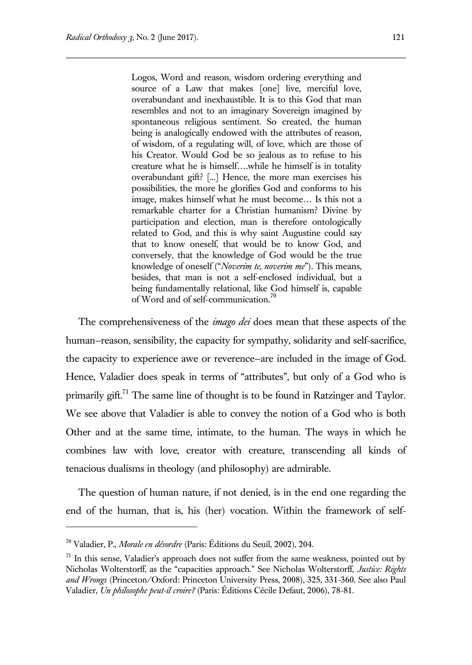Logos, Word and reason, wisdom ordering everything and source of a Law that makes [one] live, merciful love, overabundant and inexhaustible. It is to this God that man resembles and not to an imaginary Sovereign imagined by spontaneous religious sentiment. So created, the human being is analogically endowed with the attributes of reason, of wisdom, of a regulating will, of love, which are those of his Creator. Would God be so jealous as to refuse to his creature what he is himself….while he himself is in totality overabundant gift? [...] Hence, the more man exercises his possibilities, the more he glorifies God and conforms to his image, makes himself what he must become… Is this not a remarkable charter for a Christian humanism? Divine by participation and election, man is therefore ontologically related to God, and this is why saint Augustine could say that to know oneself, that would be to know God, and conversely, that the knowledge of God would be the true knowledge of oneself ("*Noverim te, noverim me*"). This means, besides, that man is not a self-enclosed individual, but a being fundamentally relational, like God himself is, capable of Word and of self-communication.<sup>70</sup>

The comprehensiveness of the *imago dei* does mean that these aspects of the human—reason, sensibility, the capacity for sympathy, solidarity and self-sacrifice, the capacity to experience awe or reverence—are included in the image of God. Hence, Valadier does speak in terms of "attributes", but only of a God who is primarily gift.<sup>71</sup> The same line of thought is to be found in Ratzinger and Taylor. We see above that Valadier is able to convey the notion of a God who is both Other and at the same time, intimate, to the human. The ways in which he combines law with love, creator with creature, transcending all kinds of tenacious dualisms in theology (and philosophy) are admirable.

The question of human nature, if not denied, is in the end one regarding the end of the human, that is, his (her) vocation. Within the framework of self-

<sup>70</sup> Valadier, P., *Morale en désordre* (Paris: Éditions du Seuil, 2002), 204.

 $71$  In this sense, Valadier's approach does not suffer from the same weakness, pointed out by Nicholas Wolterstorff, as the "capacities approach." See Nicholas Wolterstorff, *Justice: Rights and Wrongs* (Princeton/Oxford: Princeton University Press, 2008), 325, 331-360. See also Paul Valadier, *Un philosophe peut-il croire?* (Paris: Éditions Cécile Defaut, 2006), 78-81.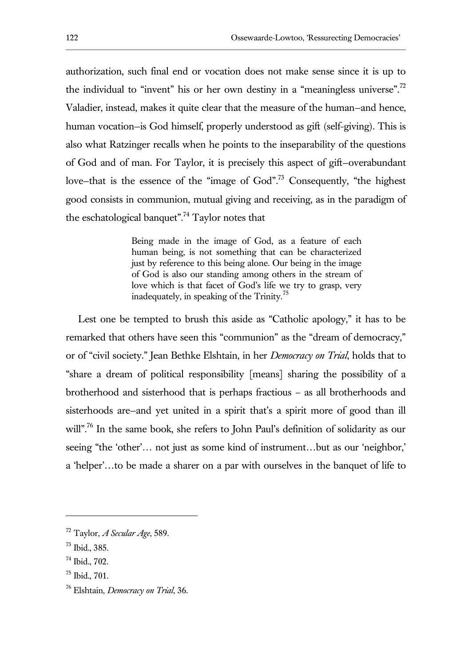authorization, such final end or vocation does not make sense since it is up to the individual to "invent" his or her own destiny in a "meaningless universe".<sup>72</sup> Valadier, instead, makes it quite clear that the measure of the human—and hence, human vocation—is God himself, properly understood as gift (self-giving). This is also what Ratzinger recalls when he points to the inseparability of the questions of God and of man. For Taylor, it is precisely this aspect of gift—overabundant love–that is the essence of the "image of God".<sup>73</sup> Consequently, "the highest good consists in communion, mutual giving and receiving, as in the paradigm of the eschatological banquet".<sup>74</sup> Taylor notes that

> Being made in the image of God, as a feature of each human being, is not something that can be characterized just by reference to this being alone. Our being in the image of God is also our standing among others in the stream of love which is that facet of God's life we try to grasp, very inadequately, in speaking of the Trinity.<sup>75</sup>

Lest one be tempted to brush this aside as "Catholic apology," it has to be remarked that others have seen this "communion" as the "dream of democracy," or of "civil society." Jean Bethke Elshtain, in her *Democracy on Trial*, holds that to "share a dream of political responsibility [means] sharing the possibility of a brotherhood and sisterhood that is perhaps fractious – as all brotherhoods and sisterhoods are—and yet united in a spirit that's a spirit more of good than ill will".<sup>76</sup> In the same book, she refers to John Paul's definition of solidarity as our seeing "the 'other'… not just as some kind of instrument…but as our 'neighbor,' a 'helper'…to be made a sharer on a par with ourselves in the banquet of life to

<sup>72</sup> Taylor, *A Secular Age*, 589.

<sup>73</sup> Ibid., 385.

<sup>74</sup> Ibid., 702.

<sup>75</sup> Ibid., 701.

<sup>76</sup> Elshtain, *Democracy on Trial*, 36.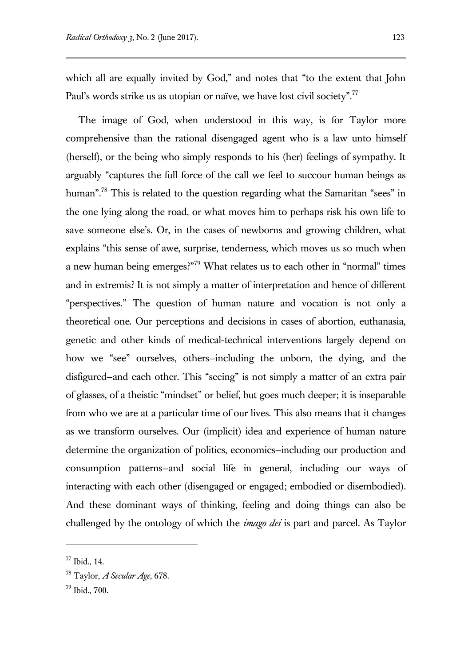which all are equally invited by God," and notes that "to the extent that John Paul's words strike us as utopian or naïve, we have lost civil society".<sup>77</sup>

The image of God, when understood in this way, is for Taylor more comprehensive than the rational disengaged agent who is a law unto himself (herself), or the being who simply responds to his (her) feelings of sympathy. It arguably "captures the full force of the call we feel to succour human beings as human".<sup>78</sup> This is related to the question regarding what the Samaritan "sees" in the one lying along the road, or what moves him to perhaps risk his own life to save someone else's. Or, in the cases of newborns and growing children, what explains "this sense of awe, surprise, tenderness, which moves us so much when a new human being emerges?"<sup>79</sup> What relates us to each other in "normal" times and in extremis? It is not simply a matter of interpretation and hence of different "perspectives." The question of human nature and vocation is not only a theoretical one. Our perceptions and decisions in cases of abortion, euthanasia, genetic and other kinds of medical-technical interventions largely depend on how we "see" ourselves, others—including the unborn, the dying, and the disfigured—and each other. This "seeing" is not simply a matter of an extra pair of glasses, of a theistic "mindset" or belief, but goes much deeper; it is inseparable from who we are at a particular time of our lives. This also means that it changes as we transform ourselves. Our (implicit) idea and experience of human nature determine the organization of politics, economics—including our production and consumption patterns—and social life in general, including our ways of interacting with each other (disengaged or engaged; embodied or disembodied). And these dominant ways of thinking, feeling and doing things can also be challenged by the ontology of which the *imago dei* is part and parcel. As Taylor

<sup>77</sup> Ibid., 14.

<sup>78</sup> Taylor, *A Secular Age*, 678.

<sup>79</sup> Ibid., 700.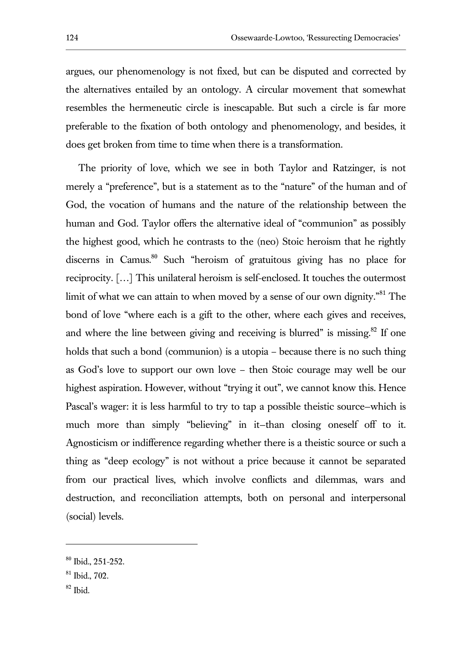argues, our phenomenology is not fixed, but can be disputed and corrected by the alternatives entailed by an ontology. A circular movement that somewhat resembles the hermeneutic circle is inescapable. But such a circle is far more preferable to the fixation of both ontology and phenomenology, and besides, it does get broken from time to time when there is a transformation.

The priority of love, which we see in both Taylor and Ratzinger, is not merely a "preference", but is a statement as to the "nature" of the human and of God, the vocation of humans and the nature of the relationship between the human and God. Taylor offers the alternative ideal of "communion" as possibly the highest good, which he contrasts to the (neo) Stoic heroism that he rightly discerns in Camus.<sup>80</sup> Such "heroism of gratuitous giving has no place for reciprocity. […] This unilateral heroism is self-enclosed. It touches the outermost limit of what we can attain to when moved by a sense of our own dignity.<sup>"81</sup> The bond of love "where each is a gift to the other, where each gives and receives, and where the line between giving and receiving is blurred" is missing.<sup>82</sup> If one holds that such a bond (communion) is a utopia – because there is no such thing as God's love to support our own love – then Stoic courage may well be our highest aspiration. However, without "trying it out", we cannot know this. Hence Pascal's wager: it is less harmful to try to tap a possible theistic source—which is much more than simply "believing" in it—than closing oneself off to it. Agnosticism or indifference regarding whether there is a theistic source or such a thing as "deep ecology" is not without a price because it cannot be separated from our practical lives, which involve conflicts and dilemmas, wars and destruction, and reconciliation attempts, both on personal and interpersonal (social) levels.

<sup>82</sup> Ibid.

<sup>80</sup> Ibid., 251-252.

 $81$  Ibid., 702.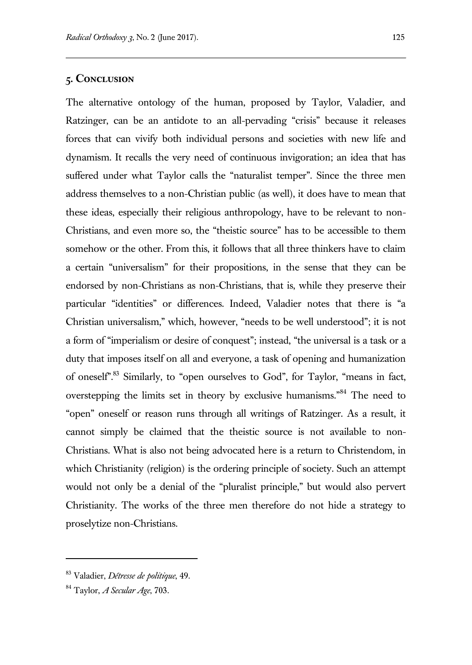### **5. Conclusion**

The alternative ontology of the human, proposed by Taylor, Valadier, and Ratzinger, can be an antidote to an all-pervading "crisis" because it releases forces that can vivify both individual persons and societies with new life and dynamism. It recalls the very need of continuous invigoration; an idea that has suffered under what Taylor calls the "naturalist temper". Since the three men address themselves to a non-Christian public (as well), it does have to mean that these ideas, especially their religious anthropology, have to be relevant to non-Christians, and even more so, the "theistic source" has to be accessible to them somehow or the other. From this, it follows that all three thinkers have to claim a certain "universalism" for their propositions, in the sense that they can be endorsed by non-Christians as non-Christians, that is, while they preserve their particular "identities" or differences. Indeed, Valadier notes that there is "a Christian universalism," which, however, "needs to be well understood"; it is not a form of "imperialism or desire of conquest"; instead, "the universal is a task or a duty that imposes itself on all and everyone, a task of opening and humanization of oneself".<sup>83</sup> Similarly, to "open ourselves to God", for Taylor, "means in fact, overstepping the limits set in theory by exclusive humanisms."<sup>84</sup> The need to "open" oneself or reason runs through all writings of Ratzinger. As a result, it cannot simply be claimed that the theistic source is not available to non-Christians. What is also not being advocated here is a return to Christendom, in which Christianity (religion) is the ordering principle of society. Such an attempt would not only be a denial of the "pluralist principle," but would also pervert Christianity. The works of the three men therefore do not hide a strategy to proselytize non-Christians.

<sup>83</sup> Valadier, *Détresse de politique*, 49.

<sup>84</sup> Taylor, *A Secular Age*, 703.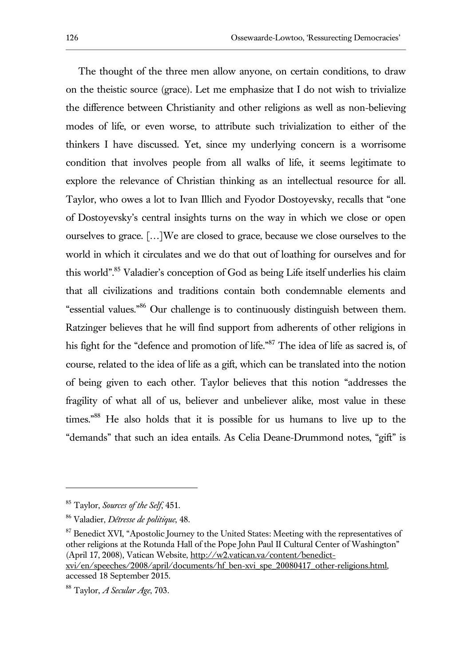The thought of the three men allow anyone, on certain conditions, to draw on the theistic source (grace). Let me emphasize that I do not wish to trivialize the difference between Christianity and other religions as well as non-believing modes of life, or even worse, to attribute such trivialization to either of the thinkers I have discussed. Yet, since my underlying concern is a worrisome condition that involves people from all walks of life, it seems legitimate to explore the relevance of Christian thinking as an intellectual resource for all. Taylor, who owes a lot to Ivan Illich and Fyodor Dostoyevsky, recalls that "one of Dostoyevsky's central insights turns on the way in which we close or open ourselves to grace. […]We are closed to grace, because we close ourselves to the world in which it circulates and we do that out of loathing for ourselves and for this world".<sup>85</sup> Valadier's conception of God as being Life itself underlies his claim that all civilizations and traditions contain both condemnable elements and "essential values."<sup>86</sup> Our challenge is to continuously distinguish between them. Ratzinger believes that he will find support from adherents of other religions in his fight for the "defence and promotion of life."<sup>87</sup> The idea of life as sacred is, of course, related to the idea of life as a gift, which can be translated into the notion of being given to each other. Taylor believes that this notion "addresses the fragility of what all of us, believer and unbeliever alike, most value in these times."<sup>88</sup> He also holds that it is possible for us humans to live up to the "demands" that such an idea entails. As Celia Deane-Drummond notes, "gift" is

<sup>85</sup> Taylor, *Sources of the Self*, 451.

<sup>86</sup> Valadier, *Détresse de politique*, 48.

<sup>&</sup>lt;sup>87</sup> Benedict XVI, "Apostolic Journey to the United States: Meeting with the representatives of other religions at the Rotunda Hall of the Pope John Paul II Cultural Center of Washington" (April 17, 2008), Vatican Website, http://w2.vatican.va/content/benedictxvi/en/speeches/2008/april/documents/hf\_ben-xvi\_spe\_20080417\_other-religions.html, accessed 18 September 2015.

<sup>88</sup> Taylor, *A Secular Age*, 703.